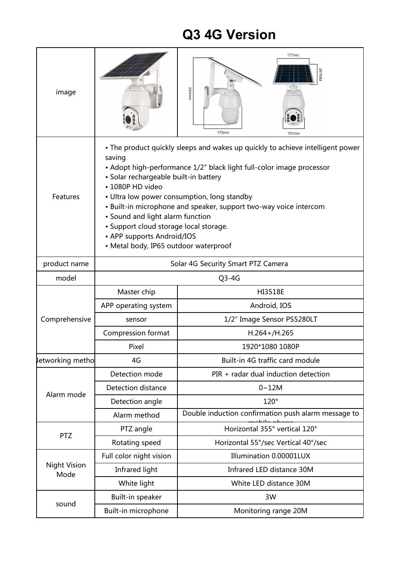## **Q3 4G Version**

| image                       |                                                                                                                                                                                                                                                                                                                                                                                                                                                                                                        | 177mm<br>244mm<br>170mm<br>101mm                    |  |
|-----------------------------|--------------------------------------------------------------------------------------------------------------------------------------------------------------------------------------------------------------------------------------------------------------------------------------------------------------------------------------------------------------------------------------------------------------------------------------------------------------------------------------------------------|-----------------------------------------------------|--|
| Features                    | • The product quickly sleeps and wakes up quickly to achieve intelligent power<br>saving<br>• Adopt high-performance 1/2" black light full-color image processor<br>· Solar rechargeable built-in battery<br>• 1080P HD video<br>• Ultra low power consumption, long standby<br>• Built-in microphone and speaker, support two-way voice intercom<br>• Sound and light alarm function<br>• Support cloud storage local storage.<br>• APP supports Android/IOS<br>• Metal body, IP65 outdoor waterproof |                                                     |  |
| product name                | Solar 4G Security Smart PTZ Camera                                                                                                                                                                                                                                                                                                                                                                                                                                                                     |                                                     |  |
| model                       | $Q3-4G$                                                                                                                                                                                                                                                                                                                                                                                                                                                                                                |                                                     |  |
| Comprehensive               | Master chip                                                                                                                                                                                                                                                                                                                                                                                                                                                                                            | <b>HI3518E</b>                                      |  |
|                             | APP operating system                                                                                                                                                                                                                                                                                                                                                                                                                                                                                   | Android, IOS                                        |  |
|                             | sensor                                                                                                                                                                                                                                                                                                                                                                                                                                                                                                 | 1/2" Image Sensor PS5280LT                          |  |
|                             | Compression format                                                                                                                                                                                                                                                                                                                                                                                                                                                                                     | $H.264 + / H.265$                                   |  |
|                             | Pixel                                                                                                                                                                                                                                                                                                                                                                                                                                                                                                  | 1920*1080 1080P                                     |  |
| letworking metho            | 4G                                                                                                                                                                                                                                                                                                                                                                                                                                                                                                     | Built-in 4G traffic card module                     |  |
| Alarm mode                  | Detection mode                                                                                                                                                                                                                                                                                                                                                                                                                                                                                         | PIR + radar dual induction detection                |  |
|                             | Detection distance                                                                                                                                                                                                                                                                                                                                                                                                                                                                                     | $0 - 12M$                                           |  |
|                             | Detection angle                                                                                                                                                                                                                                                                                                                                                                                                                                                                                        | $120^\circ$                                         |  |
|                             | Alarm method                                                                                                                                                                                                                                                                                                                                                                                                                                                                                           | Double induction confirmation push alarm message to |  |
| <b>PTZ</b>                  | PTZ angle                                                                                                                                                                                                                                                                                                                                                                                                                                                                                              | Horizontal 355° vertical 120°                       |  |
|                             | Rotating speed                                                                                                                                                                                                                                                                                                                                                                                                                                                                                         | Horizontal 55°/sec Vertical 40°/sec                 |  |
| <b>Night Vision</b><br>Mode | Full color night vision                                                                                                                                                                                                                                                                                                                                                                                                                                                                                | Illumination 0.00001LUX                             |  |
|                             | Infrared light                                                                                                                                                                                                                                                                                                                                                                                                                                                                                         | Infrared LED distance 30M                           |  |
|                             | White light                                                                                                                                                                                                                                                                                                                                                                                                                                                                                            | White LED distance 30M                              |  |
| sound                       | Built-in speaker                                                                                                                                                                                                                                                                                                                                                                                                                                                                                       | 3W                                                  |  |
|                             | Built-in microphone                                                                                                                                                                                                                                                                                                                                                                                                                                                                                    | Monitoring range 20M                                |  |